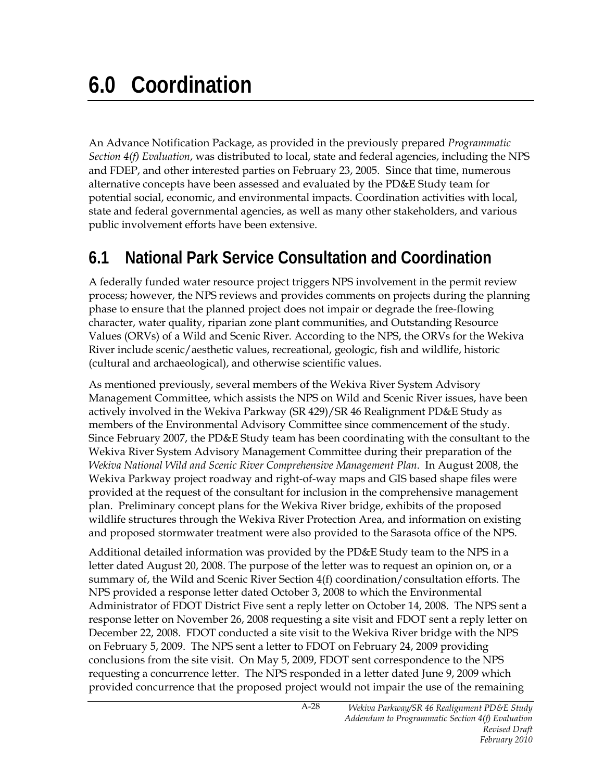An Advance Notification Package, as provided in the previously prepared *Programmatic Section 4(f) Evaluation*, was distributed to local, state and federal agencies, including the NPS and FDEP, and other interested parties on February 23, 2005. Since that time, numerous alternative concepts have been assessed and evaluated by the PD&E Study team for potential social, economic, and environmental impacts. Coordination activities with local, state and federal governmental agencies, as well as many other stakeholders, and various public involvement efforts have been extensive.

## **6.1 National Park Service Consultation and Coordination**

A federally funded water resource project triggers NPS involvement in the permit review process; however, the NPS reviews and provides comments on projects during the planning phase to ensure that the planned project does not impair or degrade the free-flowing character, water quality, riparian zone plant communities, and Outstanding Resource Values (ORVs) of a Wild and Scenic River. According to the NPS, the ORVs for the Wekiva River include scenic/aesthetic values, recreational, geologic, fish and wildlife, historic (cultural and archaeological), and otherwise scientific values.

As mentioned previously, several members of the Wekiva River System Advisory Management Committee, which assists the NPS on Wild and Scenic River issues, have been actively involved in the Wekiva Parkway (SR 429)/SR 46 Realignment PD&E Study as members of the Environmental Advisory Committee since commencement of the study. Since February 2007, the PD&E Study team has been coordinating with the consultant to the Wekiva River System Advisory Management Committee during their preparation of the *Wekiva National Wild and Scenic River Comprehensive Management Plan*. In August 2008, the Wekiva Parkway project roadway and right-of-way maps and GIS based shape files were provided at the request of the consultant for inclusion in the comprehensive management plan. Preliminary concept plans for the Wekiva River bridge, exhibits of the proposed wildlife structures through the Wekiva River Protection Area, and information on existing and proposed stormwater treatment were also provided to the Sarasota office of the NPS.

Additional detailed information was provided by the PD&E Study team to the NPS in a letter dated August 20, 2008. The purpose of the letter was to request an opinion on, or a summary of, the Wild and Scenic River Section 4(f) coordination/consultation efforts. The NPS provided a response letter dated October 3, 2008 to which the Environmental Administrator of FDOT District Five sent a reply letter on October 14, 2008. The NPS sent a response letter on November 26, 2008 requesting a site visit and FDOT sent a reply letter on December 22, 2008. FDOT conducted a site visit to the Wekiva River bridge with the NPS on February 5, 2009. The NPS sent a letter to FDOT on February 24, 2009 providing conclusions from the site visit. On May 5, 2009, FDOT sent correspondence to the NPS requesting a concurrence letter. The NPS responded in a letter dated June 9, 2009 which provided concurrence that the proposed project would not impair the use of the remaining